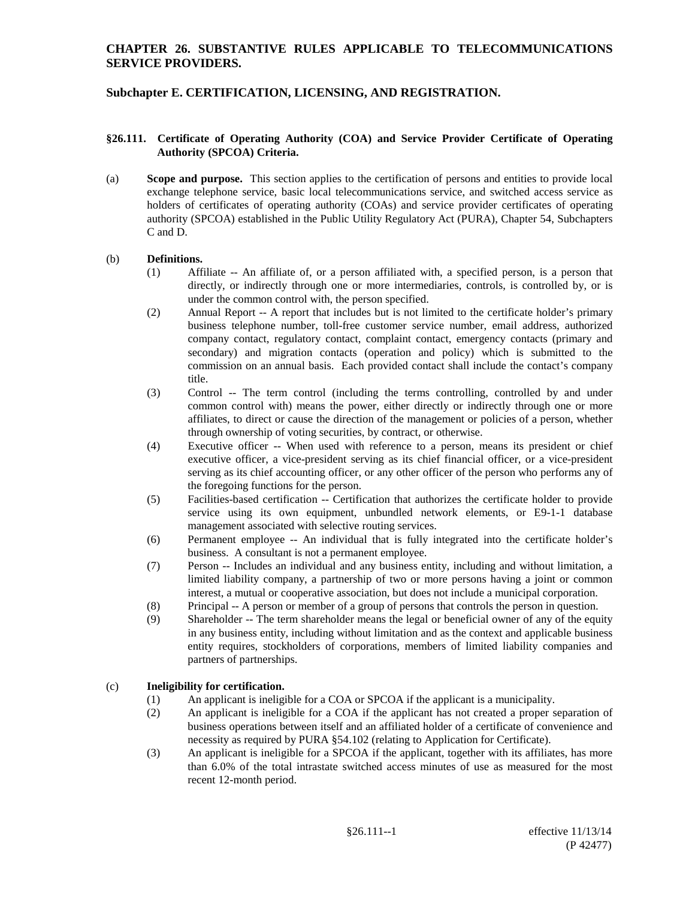#### **Subchapter E. CERTIFICATION, LICENSING, AND REGISTRATION.**

#### **§26.111. Certificate of Operating Authority (COA) and Service Provider Certificate of Operating Authority (SPCOA) Criteria.**

(a) **Scope and purpose.** This section applies to the certification of persons and entities to provide local exchange telephone service, basic local telecommunications service, and switched access service as holders of certificates of operating authority (COAs) and service provider certificates of operating authority (SPCOA) established in the Public Utility Regulatory Act (PURA), Chapter 54, Subchapters C and D.

#### (b) **Definitions.**

- (1) Affiliate -- An affiliate of, or a person affiliated with, a specified person, is a person that directly, or indirectly through one or more intermediaries, controls, is controlled by, or is under the common control with, the person specified.
- (2) Annual Report -- A report that includes but is not limited to the certificate holder's primary business telephone number, toll-free customer service number, email address, authorized company contact, regulatory contact, complaint contact, emergency contacts (primary and secondary) and migration contacts (operation and policy) which is submitted to the commission on an annual basis. Each provided contact shall include the contact's company title.
- (3) Control -- The term control (including the terms controlling, controlled by and under common control with) means the power, either directly or indirectly through one or more affiliates, to direct or cause the direction of the management or policies of a person, whether through ownership of voting securities, by contract, or otherwise.
- (4) Executive officer -- When used with reference to a person, means its president or chief executive officer, a vice-president serving as its chief financial officer, or a vice-president serving as its chief accounting officer, or any other officer of the person who performs any of the foregoing functions for the person.
- (5) Facilities-based certification -- Certification that authorizes the certificate holder to provide service using its own equipment, unbundled network elements, or E9-1-1 database management associated with selective routing services.
- (6) Permanent employee -- An individual that is fully integrated into the certificate holder's business. A consultant is not a permanent employee.
- (7) Person -- Includes an individual and any business entity, including and without limitation, a limited liability company, a partnership of two or more persons having a joint or common interest, a mutual or cooperative association, but does not include a municipal corporation.
- (8) Principal -- A person or member of a group of persons that controls the person in question.
- (9) Shareholder -- The term shareholder means the legal or beneficial owner of any of the equity in any business entity, including without limitation and as the context and applicable business entity requires, stockholders of corporations, members of limited liability companies and partners of partnerships.

#### (c) **Ineligibility for certification.**

- (1) An applicant is ineligible for a COA or SPCOA if the applicant is a municipality.
- (2) An applicant is ineligible for a COA if the applicant has not created a proper separation of business operations between itself and an affiliated holder of a certificate of convenience and necessity as required by PURA §54.102 (relating to Application for Certificate).
- (3) An applicant is ineligible for a SPCOA if the applicant, together with its affiliates, has more than 6.0% of the total intrastate switched access minutes of use as measured for the most recent 12-month period.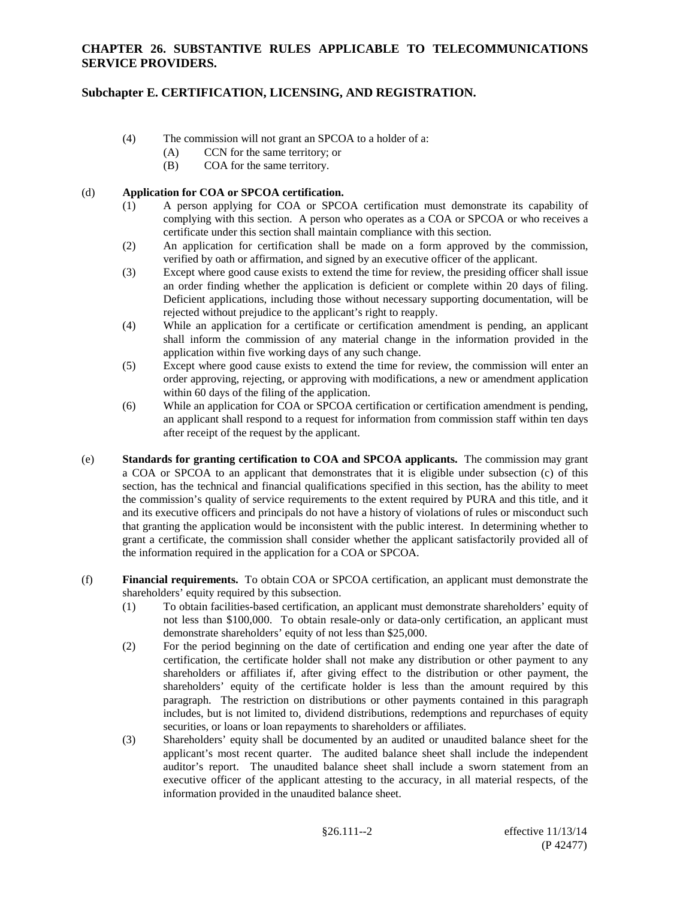# **Subchapter E. CERTIFICATION, LICENSING, AND REGISTRATION.**

- (4) The commission will not grant an SPCOA to a holder of a:
	- (A) CCN for the same territory; or
	- (B) COA for the same territory.

(d) **Application for COA or SPCOA certification.**

- (1) A person applying for COA or SPCOA certification must demonstrate its capability of complying with this section. A person who operates as a COA or SPCOA or who receives a certificate under this section shall maintain compliance with this section.
- (2) An application for certification shall be made on a form approved by the commission, verified by oath or affirmation, and signed by an executive officer of the applicant.
- (3) Except where good cause exists to extend the time for review, the presiding officer shall issue an order finding whether the application is deficient or complete within 20 days of filing. Deficient applications, including those without necessary supporting documentation, will be rejected without prejudice to the applicant's right to reapply.
- (4) While an application for a certificate or certification amendment is pending, an applicant shall inform the commission of any material change in the information provided in the application within five working days of any such change.
- (5) Except where good cause exists to extend the time for review, the commission will enter an order approving, rejecting, or approving with modifications, a new or amendment application within 60 days of the filing of the application.
- (6) While an application for COA or SPCOA certification or certification amendment is pending, an applicant shall respond to a request for information from commission staff within ten days after receipt of the request by the applicant.
- (e) **Standards for granting certification to COA and SPCOA applicants.** The commission may grant a COA or SPCOA to an applicant that demonstrates that it is eligible under subsection (c) of this section, has the technical and financial qualifications specified in this section, has the ability to meet the commission's quality of service requirements to the extent required by PURA and this title, and it and its executive officers and principals do not have a history of violations of rules or misconduct such that granting the application would be inconsistent with the public interest. In determining whether to grant a certificate, the commission shall consider whether the applicant satisfactorily provided all of the information required in the application for a COA or SPCOA.
- (f) **Financial requirements.** To obtain COA or SPCOA certification, an applicant must demonstrate the shareholders' equity required by this subsection.
	- (1) To obtain facilities-based certification, an applicant must demonstrate shareholders' equity of not less than \$100,000. To obtain resale-only or data-only certification, an applicant must demonstrate shareholders' equity of not less than \$25,000.
	- (2) For the period beginning on the date of certification and ending one year after the date of certification, the certificate holder shall not make any distribution or other payment to any shareholders or affiliates if, after giving effect to the distribution or other payment, the shareholders' equity of the certificate holder is less than the amount required by this paragraph. The restriction on distributions or other payments contained in this paragraph includes, but is not limited to, dividend distributions, redemptions and repurchases of equity securities, or loans or loan repayments to shareholders or affiliates.
	- (3) Shareholders' equity shall be documented by an audited or unaudited balance sheet for the applicant's most recent quarter. The audited balance sheet shall include the independent auditor's report. The unaudited balance sheet shall include a sworn statement from an executive officer of the applicant attesting to the accuracy, in all material respects, of the information provided in the unaudited balance sheet.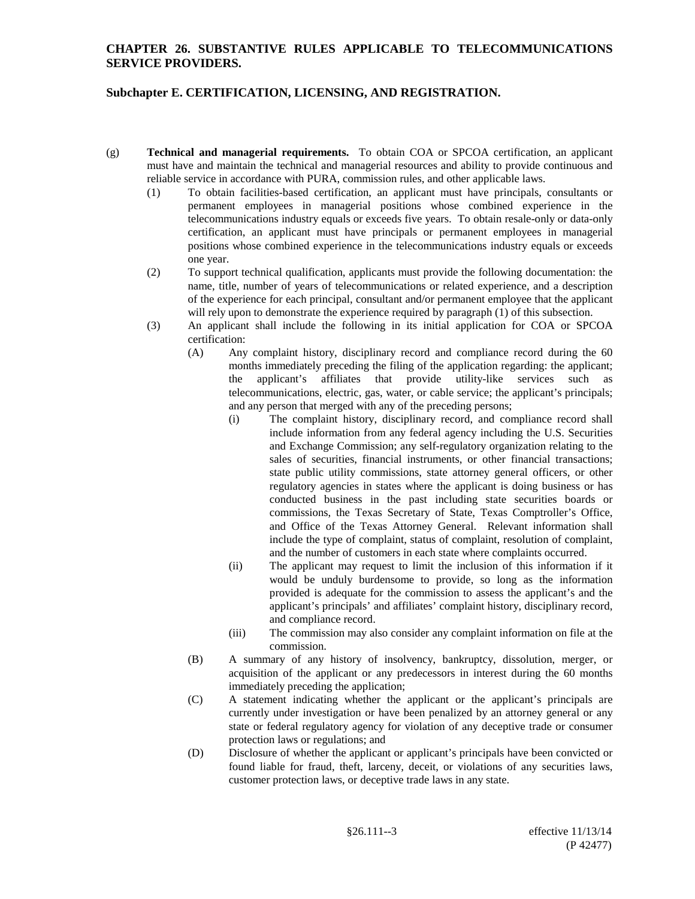- (g) **Technical and managerial requirements.** To obtain COA or SPCOA certification, an applicant must have and maintain the technical and managerial resources and ability to provide continuous and reliable service in accordance with PURA, commission rules, and other applicable laws.
	- (1) To obtain facilities-based certification, an applicant must have principals, consultants or permanent employees in managerial positions whose combined experience in the telecommunications industry equals or exceeds five years. To obtain resale-only or data-only certification, an applicant must have principals or permanent employees in managerial positions whose combined experience in the telecommunications industry equals or exceeds one year.
	- (2) To support technical qualification, applicants must provide the following documentation: the name, title, number of years of telecommunications or related experience, and a description of the experience for each principal, consultant and/or permanent employee that the applicant will rely upon to demonstrate the experience required by paragraph (1) of this subsection.
	- (3) An applicant shall include the following in its initial application for COA or SPCOA certification:
		- (A) Any complaint history, disciplinary record and compliance record during the 60 months immediately preceding the filing of the application regarding: the applicant; the applicant's affiliates that provide utility-like services such as telecommunications, electric, gas, water, or cable service; the applicant's principals; and any person that merged with any of the preceding persons;
			- (i) The complaint history, disciplinary record, and compliance record shall include information from any federal agency including the U.S. Securities and Exchange Commission; any self-regulatory organization relating to the sales of securities, financial instruments, or other financial transactions; state public utility commissions, state attorney general officers, or other regulatory agencies in states where the applicant is doing business or has conducted business in the past including state securities boards or commissions, the Texas Secretary of State, Texas Comptroller's Office, and Office of the Texas Attorney General. Relevant information shall include the type of complaint, status of complaint, resolution of complaint, and the number of customers in each state where complaints occurred.
			- (ii) The applicant may request to limit the inclusion of this information if it would be unduly burdensome to provide, so long as the information provided is adequate for the commission to assess the applicant's and the applicant's principals' and affiliates' complaint history, disciplinary record, and compliance record.
			- (iii) The commission may also consider any complaint information on file at the commission.
		- (B) A summary of any history of insolvency, bankruptcy, dissolution, merger, or acquisition of the applicant or any predecessors in interest during the 60 months immediately preceding the application;
		- (C) A statement indicating whether the applicant or the applicant's principals are currently under investigation or have been penalized by an attorney general or any state or federal regulatory agency for violation of any deceptive trade or consumer protection laws or regulations; and
		- (D) Disclosure of whether the applicant or applicant's principals have been convicted or found liable for fraud, theft, larceny, deceit, or violations of any securities laws, customer protection laws, or deceptive trade laws in any state.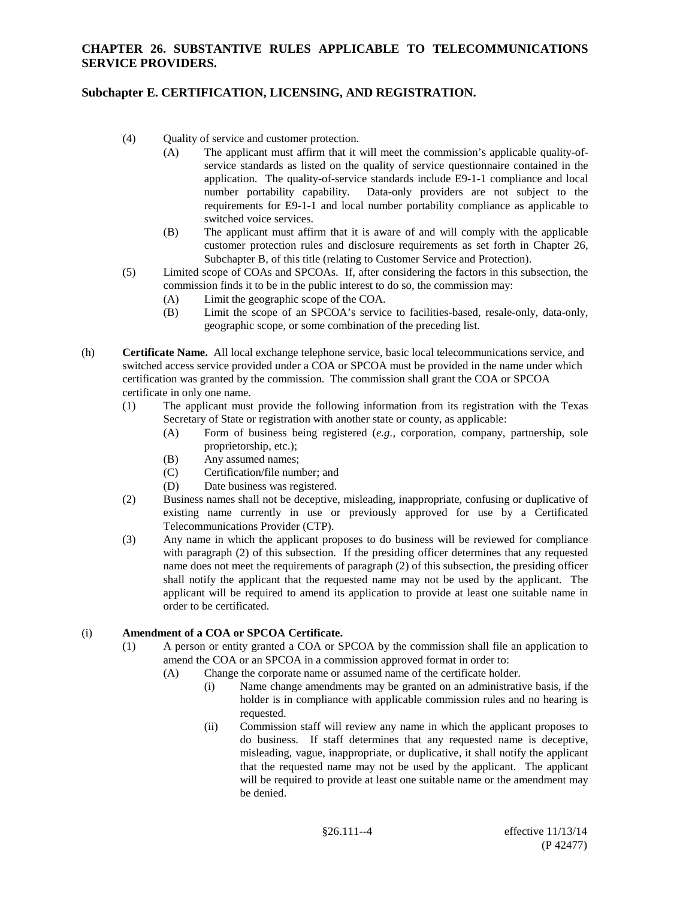### **Subchapter E. CERTIFICATION, LICENSING, AND REGISTRATION.**

- (4) Quality of service and customer protection.
	- (A) The applicant must affirm that it will meet the commission's applicable quality-ofservice standards as listed on the quality of service questionnaire contained in the application. The quality-of-service standards include E9-1-1 compliance and local number portability capability. Data-only providers are not subject to the requirements for E9-1-1 and local number portability compliance as applicable to switched voice services.
	- (B) The applicant must affirm that it is aware of and will comply with the applicable customer protection rules and disclosure requirements as set forth in Chapter 26, Subchapter B, of this title (relating to Customer Service and Protection).
- (5) Limited scope of COAs and SPCOAs. If, after considering the factors in this subsection, the commission finds it to be in the public interest to do so, the commission may:
	- (A) Limit the geographic scope of the COA.
	- (B) Limit the scope of an SPCOA's service to facilities-based, resale-only, data-only, geographic scope, or some combination of the preceding list.
- (h) **Certificate Name.** All local exchange telephone service, basic local telecommunications service, and switched access service provided under a COA or SPCOA must be provided in the name under which certification was granted by the commission. The commission shall grant the COA or SPCOA certificate in only one name.
	- (1) The applicant must provide the following information from its registration with the Texas Secretary of State or registration with another state or county, as applicable:
		- (A) Form of business being registered (*e.g.*, corporation, company, partnership, sole proprietorship, etc.);
		- (B) Any assumed names;
		- (C) Certification/file number; and
		- (D) Date business was registered.
	- (2) Business names shall not be deceptive, misleading, inappropriate, confusing or duplicative of existing name currently in use or previously approved for use by a Certificated Telecommunications Provider (CTP).
	- (3) Any name in which the applicant proposes to do business will be reviewed for compliance with paragraph (2) of this subsection. If the presiding officer determines that any requested name does not meet the requirements of paragraph (2) of this subsection, the presiding officer shall notify the applicant that the requested name may not be used by the applicant. The applicant will be required to amend its application to provide at least one suitable name in order to be certificated.

### (i) **Amendment of a COA or SPCOA Certificate.**

- (1) A person or entity granted a COA or SPCOA by the commission shall file an application to amend the COA or an SPCOA in a commission approved format in order to:
	- (A) Change the corporate name or assumed name of the certificate holder.
		- (i) Name change amendments may be granted on an administrative basis, if the holder is in compliance with applicable commission rules and no hearing is requested.
		- (ii) Commission staff will review any name in which the applicant proposes to do business. If staff determines that any requested name is deceptive, misleading, vague, inappropriate, or duplicative, it shall notify the applicant that the requested name may not be used by the applicant. The applicant will be required to provide at least one suitable name or the amendment may be denied.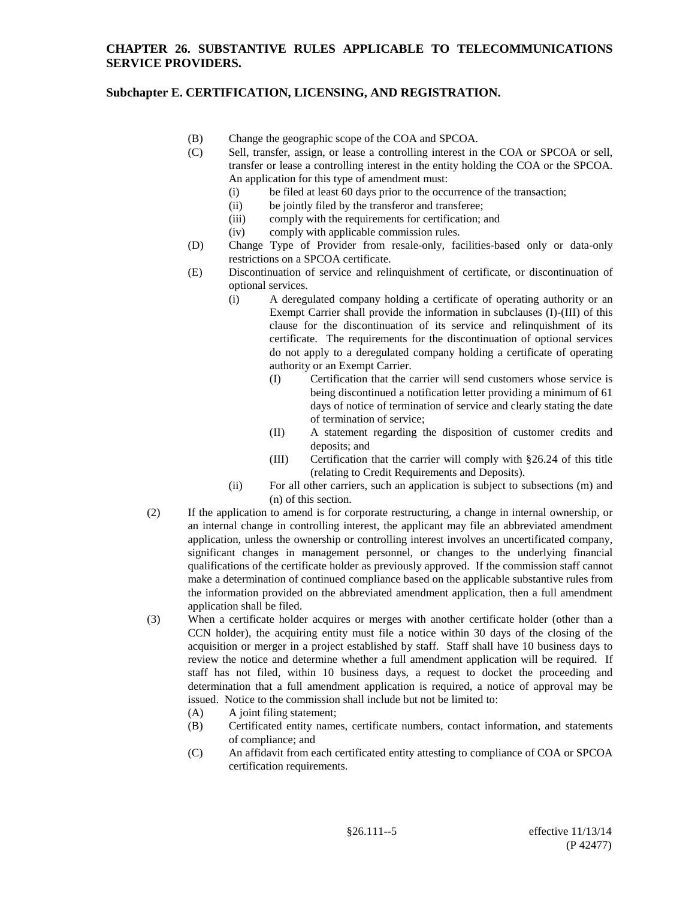- (B) Change the geographic scope of the COA and SPCOA.
- (C) Sell, transfer, assign, or lease a controlling interest in the COA or SPCOA or sell, transfer or lease a controlling interest in the entity holding the COA or the SPCOA. An application for this type of amendment must:
	- (i) be filed at least 60 days prior to the occurrence of the transaction;
	- (ii) be jointly filed by the transferor and transferee;
	- (iii) comply with the requirements for certification; and
	- (iv) comply with applicable commission rules.
- (D) Change Type of Provider from resale-only, facilities-based only or data-only restrictions on a SPCOA certificate.
- (E) Discontinuation of service and relinquishment of certificate, or discontinuation of optional services.
	- (i) A deregulated company holding a certificate of operating authority or an Exempt Carrier shall provide the information in subclauses (I)-(III) of this clause for the discontinuation of its service and relinquishment of its certificate. The requirements for the discontinuation of optional services do not apply to a deregulated company holding a certificate of operating authority or an Exempt Carrier.
		- (I) Certification that the carrier will send customers whose service is being discontinued a notification letter providing a minimum of 61 days of notice of termination of service and clearly stating the date of termination of service;
		- (II) A statement regarding the disposition of customer credits and deposits; and
		- (III) Certification that the carrier will comply with §26.24 of this title (relating to Credit Requirements and Deposits).
	- (ii) For all other carriers, such an application is subject to subsections (m) and (n) of this section.
- (2) If the application to amend is for corporate restructuring, a change in internal ownership, or an internal change in controlling interest, the applicant may file an abbreviated amendment application, unless the ownership or controlling interest involves an uncertificated company, significant changes in management personnel, or changes to the underlying financial qualifications of the certificate holder as previously approved. If the commission staff cannot make a determination of continued compliance based on the applicable substantive rules from the information provided on the abbreviated amendment application, then a full amendment application shall be filed.
- (3) When a certificate holder acquires or merges with another certificate holder (other than a CCN holder), the acquiring entity must file a notice within 30 days of the closing of the acquisition or merger in a project established by staff. Staff shall have 10 business days to review the notice and determine whether a full amendment application will be required. If staff has not filed, within 10 business days, a request to docket the proceeding and determination that a full amendment application is required, a notice of approval may be issued. Notice to the commission shall include but not be limited to:
	- (A) A joint filing statement;
	- (B) Certificated entity names, certificate numbers, contact information, and statements of compliance; and
	- (C) An affidavit from each certificated entity attesting to compliance of COA or SPCOA certification requirements.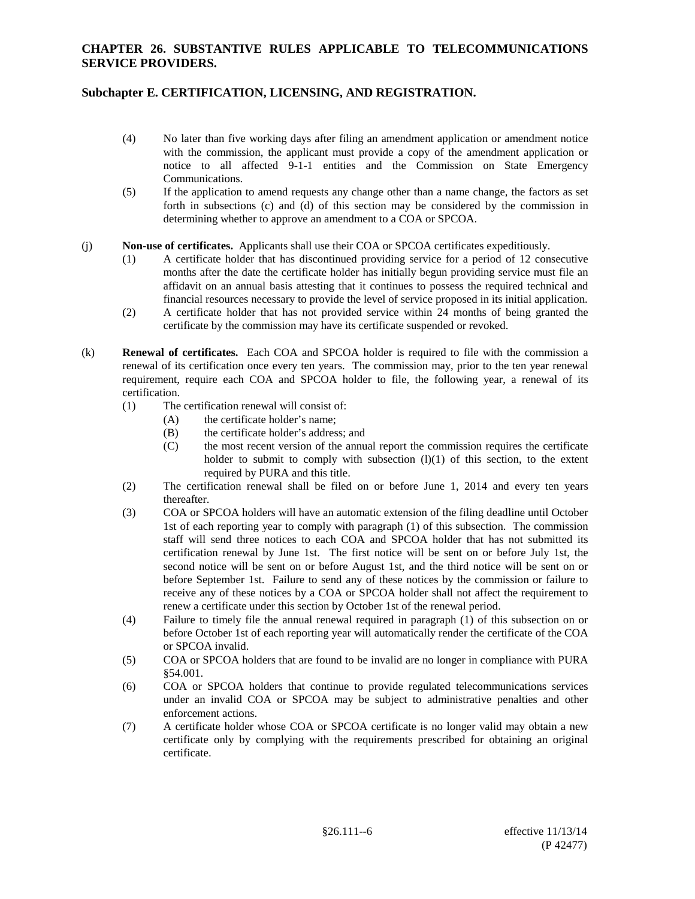### **Subchapter E. CERTIFICATION, LICENSING, AND REGISTRATION.**

- (4) No later than five working days after filing an amendment application or amendment notice with the commission, the applicant must provide a copy of the amendment application or notice to all affected 9-1-1 entities and the Commission on State Emergency Communications.
- (5) If the application to amend requests any change other than a name change, the factors as set forth in subsections (c) and (d) of this section may be considered by the commission in determining whether to approve an amendment to a COA or SPCOA.

#### (j) **Non-use of certificates.** Applicants shall use their COA or SPCOA certificates expeditiously.

- (1) A certificate holder that has discontinued providing service for a period of 12 consecutive months after the date the certificate holder has initially begun providing service must file an affidavit on an annual basis attesting that it continues to possess the required technical and financial resources necessary to provide the level of service proposed in its initial application.
- (2) A certificate holder that has not provided service within 24 months of being granted the certificate by the commission may have its certificate suspended or revoked.
- (k) **Renewal of certificates.** Each COA and SPCOA holder is required to file with the commission a renewal of its certification once every ten years. The commission may, prior to the ten year renewal requirement, require each COA and SPCOA holder to file, the following year, a renewal of its certification.
	- (1) The certification renewal will consist of:
		- (A) the certificate holder's name;
		- (B) the certificate holder's address; and
		- (C) the most recent version of the annual report the commission requires the certificate holder to submit to comply with subsection  $(l)(1)$  of this section, to the extent required by PURA and this title.
	- (2) The certification renewal shall be filed on or before June 1, 2014 and every ten years thereafter.
	- (3) COA or SPCOA holders will have an automatic extension of the filing deadline until October 1st of each reporting year to comply with paragraph (1) of this subsection. The commission staff will send three notices to each COA and SPCOA holder that has not submitted its certification renewal by June 1st. The first notice will be sent on or before July 1st, the second notice will be sent on or before August 1st, and the third notice will be sent on or before September 1st. Failure to send any of these notices by the commission or failure to receive any of these notices by a COA or SPCOA holder shall not affect the requirement to renew a certificate under this section by October 1st of the renewal period.
	- (4) Failure to timely file the annual renewal required in paragraph (1) of this subsection on or before October 1st of each reporting year will automatically render the certificate of the COA or SPCOA invalid.
	- (5) COA or SPCOA holders that are found to be invalid are no longer in compliance with PURA §54.001.
	- (6) COA or SPCOA holders that continue to provide regulated telecommunications services under an invalid COA or SPCOA may be subject to administrative penalties and other enforcement actions.
	- (7) A certificate holder whose COA or SPCOA certificate is no longer valid may obtain a new certificate only by complying with the requirements prescribed for obtaining an original certificate.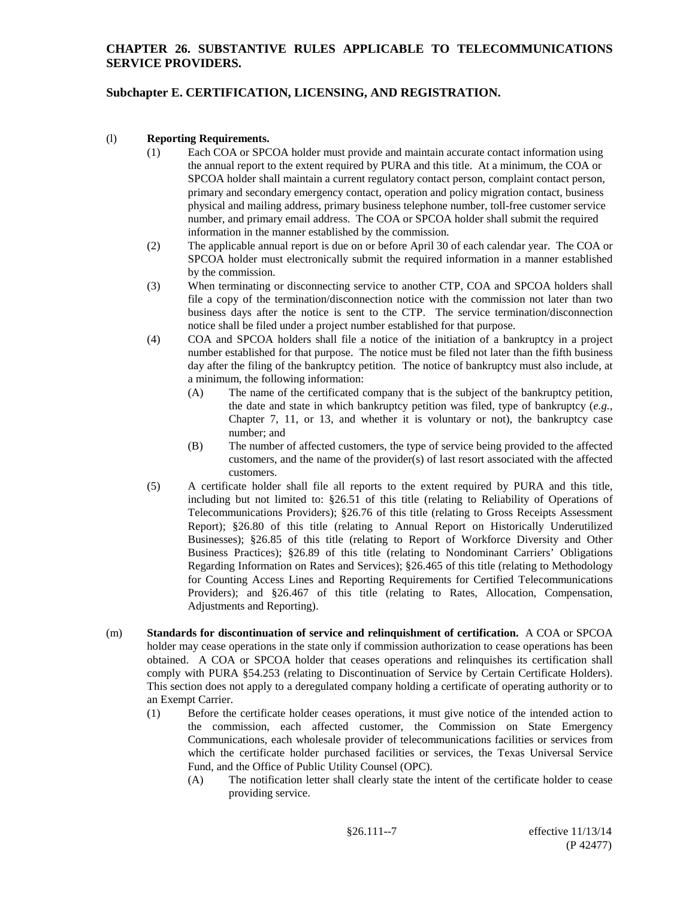# **Subchapter E. CERTIFICATION, LICENSING, AND REGISTRATION.**

#### (l) **Reporting Requirements.**

- (1) Each COA or SPCOA holder must provide and maintain accurate contact information using the annual report to the extent required by PURA and this title. At a minimum, the COA or SPCOA holder shall maintain a current regulatory contact person, complaint contact person, primary and secondary emergency contact, operation and policy migration contact, business physical and mailing address, primary business telephone number, toll-free customer service number, and primary email address. The COA or SPCOA holder shall submit the required information in the manner established by the commission.
- (2) The applicable annual report is due on or before April 30 of each calendar year. The COA or SPCOA holder must electronically submit the required information in a manner established by the commission.
- (3) When terminating or disconnecting service to another CTP, COA and SPCOA holders shall file a copy of the termination/disconnection notice with the commission not later than two business days after the notice is sent to the CTP. The service termination/disconnection notice shall be filed under a project number established for that purpose.
- (4) COA and SPCOA holders shall file a notice of the initiation of a bankruptcy in a project number established for that purpose. The notice must be filed not later than the fifth business day after the filing of the bankruptcy petition. The notice of bankruptcy must also include, at a minimum, the following information:
	- (A) The name of the certificated company that is the subject of the bankruptcy petition, the date and state in which bankruptcy petition was filed, type of bankruptcy (*e.g.*, Chapter 7, 11, or 13, and whether it is voluntary or not), the bankruptcy case number; and
	- (B) The number of affected customers, the type of service being provided to the affected customers, and the name of the provider(s) of last resort associated with the affected customers.
- (5) A certificate holder shall file all reports to the extent required by PURA and this title, including but not limited to: §26.51 of this title (relating to Reliability of Operations of Telecommunications Providers); §26.76 of this title (relating to Gross Receipts Assessment Report); §26.80 of this title (relating to Annual Report on Historically Underutilized Businesses); §26.85 of this title (relating to Report of Workforce Diversity and Other Business Practices); §26.89 of this title (relating to Nondominant Carriers' Obligations Regarding Information on Rates and Services); §26.465 of this title (relating to Methodology for Counting Access Lines and Reporting Requirements for Certified Telecommunications Providers); and §26.467 of this title (relating to Rates, Allocation, Compensation, Adjustments and Reporting).
- (m) **Standards for discontinuation of service and relinquishment of certification.** A COA or SPCOA holder may cease operations in the state only if commission authorization to cease operations has been obtained. A COA or SPCOA holder that ceases operations and relinquishes its certification shall comply with PURA §54.253 (relating to Discontinuation of Service by Certain Certificate Holders). This section does not apply to a deregulated company holding a certificate of operating authority or to an Exempt Carrier.
	- (1) Before the certificate holder ceases operations, it must give notice of the intended action to the commission, each affected customer, the Commission on State Emergency Communications, each wholesale provider of telecommunications facilities or services from which the certificate holder purchased facilities or services, the Texas Universal Service Fund, and the Office of Public Utility Counsel (OPC).
		- (A) The notification letter shall clearly state the intent of the certificate holder to cease providing service.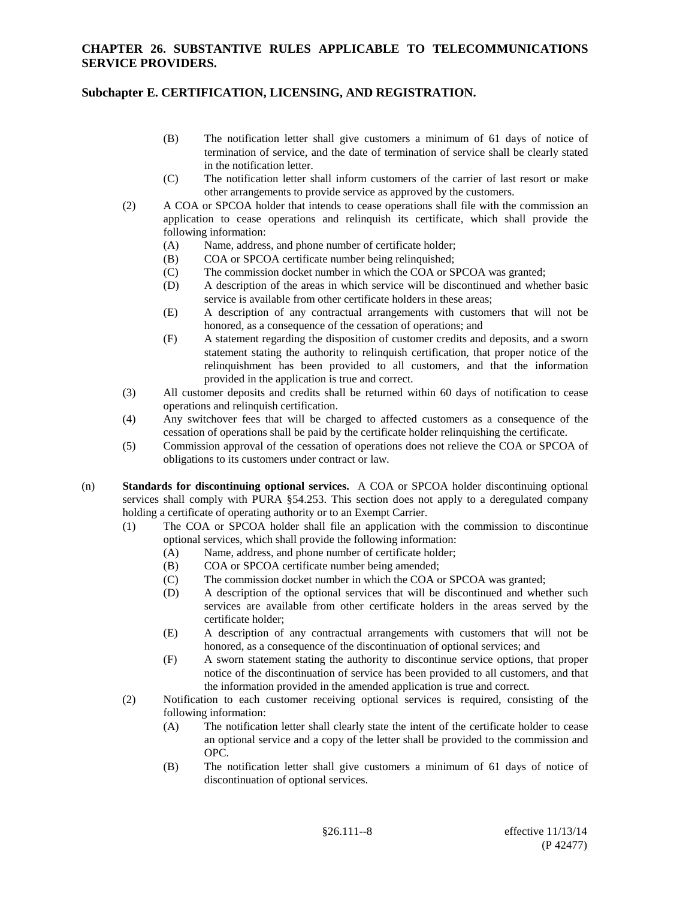- (B) The notification letter shall give customers a minimum of 61 days of notice of termination of service, and the date of termination of service shall be clearly stated in the notification letter.
- (C) The notification letter shall inform customers of the carrier of last resort or make other arrangements to provide service as approved by the customers.
- (2) A COA or SPCOA holder that intends to cease operations shall file with the commission an application to cease operations and relinquish its certificate, which shall provide the following information:
	- (A) Name, address, and phone number of certificate holder;
	- (B) COA or SPCOA certificate number being relinquished;
	- (C) The commission docket number in which the COA or SPCOA was granted;
	- (D) A description of the areas in which service will be discontinued and whether basic service is available from other certificate holders in these areas;
	- (E) A description of any contractual arrangements with customers that will not be honored, as a consequence of the cessation of operations; and
	- (F) A statement regarding the disposition of customer credits and deposits, and a sworn statement stating the authority to relinquish certification, that proper notice of the relinquishment has been provided to all customers, and that the information provided in the application is true and correct.
- (3) All customer deposits and credits shall be returned within 60 days of notification to cease operations and relinquish certification.
- (4) Any switchover fees that will be charged to affected customers as a consequence of the cessation of operations shall be paid by the certificate holder relinquishing the certificate.
- (5) Commission approval of the cessation of operations does not relieve the COA or SPCOA of obligations to its customers under contract or law.
- (n) **Standards for discontinuing optional services.** A COA or SPCOA holder discontinuing optional services shall comply with PURA §54.253. This section does not apply to a deregulated company holding a certificate of operating authority or to an Exempt Carrier.
	- (1) The COA or SPCOA holder shall file an application with the commission to discontinue optional services, which shall provide the following information:
		- (A) Name, address, and phone number of certificate holder;
		- (B) COA or SPCOA certificate number being amended;
		- (C) The commission docket number in which the COA or SPCOA was granted;
		- (D) A description of the optional services that will be discontinued and whether such services are available from other certificate holders in the areas served by the certificate holder;
		- (E) A description of any contractual arrangements with customers that will not be honored, as a consequence of the discontinuation of optional services; and
		- (F) A sworn statement stating the authority to discontinue service options, that proper notice of the discontinuation of service has been provided to all customers, and that the information provided in the amended application is true and correct.
	- (2) Notification to each customer receiving optional services is required, consisting of the following information:
		- (A) The notification letter shall clearly state the intent of the certificate holder to cease an optional service and a copy of the letter shall be provided to the commission and OPC.
		- (B) The notification letter shall give customers a minimum of 61 days of notice of discontinuation of optional services.